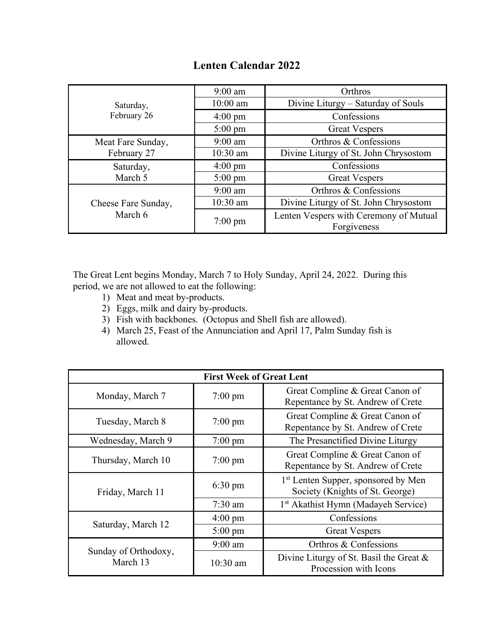|  | <b>Lenten Calendar 2022</b> |  |
|--|-----------------------------|--|
|--|-----------------------------|--|

| Saturday,<br>February 26       | $9:00$ am         | Orthros                                               |
|--------------------------------|-------------------|-------------------------------------------------------|
|                                | $10:00$ am        | Divine Liturgy – Saturday of Souls                    |
|                                | $4:00 \text{ pm}$ | Confessions                                           |
|                                | $5:00 \text{ pm}$ | <b>Great Vespers</b>                                  |
| Meat Fare Sunday,              | $9:00$ am         | Orthros & Confessions                                 |
| February 27                    | 10:30 am          | Divine Liturgy of St. John Chrysostom                 |
| Saturday,                      | $4:00 \text{ pm}$ | Confessions                                           |
| March 5                        | $5:00 \text{ pm}$ | <b>Great Vespers</b>                                  |
| Cheese Fare Sunday,<br>March 6 | $9:00$ am         | Orthros & Confessions                                 |
|                                | $10:30$ am        | Divine Liturgy of St. John Chrysostom                 |
|                                | $7:00 \text{ pm}$ | Lenten Vespers with Ceremony of Mutual<br>Forgiveness |

The Great Lent begins Monday, March 7 to Holy Sunday, April 24, 2022. During this period, we are not allowed to eat the following:

- 1) Meat and meat by-products.
- 2) Eggs, milk and dairy by-products.
- 3) Fish with backbones. (Octopus and Shell fish are allowed).
- 4) March 25, Feast of the Annunciation and April 17, Palm Sunday fish is allowed.

| <b>First Week of Great Lent</b>  |                   |                                                                                    |
|----------------------------------|-------------------|------------------------------------------------------------------------------------|
| Monday, March 7                  | $7:00 \text{ pm}$ | Great Compline & Great Canon of<br>Repentance by St. Andrew of Crete               |
| Tuesday, March 8                 | $7:00 \text{ pm}$ | Great Compline & Great Canon of<br>Repentance by St. Andrew of Crete               |
| Wednesday, March 9               | $7:00 \text{ pm}$ | The Presanctified Divine Liturgy                                                   |
| Thursday, March 10               | $7:00 \text{ pm}$ | Great Compline & Great Canon of<br>Repentance by St. Andrew of Crete               |
| Friday, March 11                 | $6:30 \text{ pm}$ | 1 <sup>st</sup> Lenten Supper, sponsored by Men<br>Society (Knights of St. George) |
|                                  | $7:30$ am         | 1 <sup>st</sup> Akathist Hymn (Madayeh Service)                                    |
| Saturday, March 12               | $4:00 \text{ pm}$ | Confessions                                                                        |
|                                  | $5:00 \text{ pm}$ | <b>Great Vespers</b>                                                               |
| Sunday of Orthodoxy,<br>March 13 | $9:00$ am         | Orthros & Confessions                                                              |
|                                  | $10:30$ am        | Divine Liturgy of St. Basil the Great &<br>Procession with Icons                   |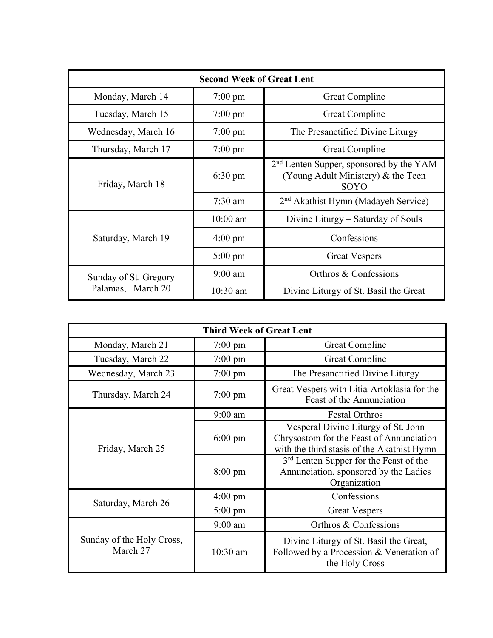| <b>Second Week of Great Lent</b>           |                   |                                                                                                   |
|--------------------------------------------|-------------------|---------------------------------------------------------------------------------------------------|
| Monday, March 14                           | $7:00 \text{ pm}$ | <b>Great Compline</b>                                                                             |
| Tuesday, March 15                          | $7:00 \text{ pm}$ | <b>Great Compline</b>                                                                             |
| Wednesday, March 16                        | $7:00 \text{ pm}$ | The Presanctified Divine Liturgy                                                                  |
| Thursday, March 17                         | $7:00 \text{ pm}$ | <b>Great Compline</b>                                                                             |
| Friday, March 18                           | $6:30 \text{ pm}$ | 2 <sup>nd</sup> Lenten Supper, sponsored by the YAM<br>(Young Adult Ministery) & the Teen<br>SOYO |
|                                            | $7:30$ am         | 2 <sup>nd</sup> Akathist Hymn (Madayeh Service)                                                   |
| Saturday, March 19                         | $10:00$ am        | Divine Liturgy – Saturday of Souls                                                                |
|                                            | $4:00 \text{ pm}$ | Confessions                                                                                       |
|                                            | $5:00 \text{ pm}$ | <b>Great Vespers</b>                                                                              |
| Sunday of St. Gregory<br>Palamas, March 20 | $9:00 \text{ am}$ | Orthros & Confessions                                                                             |
|                                            | $10:30$ am        | Divine Liturgy of St. Basil the Great                                                             |

| <b>Third Week of Great Lent</b>       |                   |                                                                                                                               |
|---------------------------------------|-------------------|-------------------------------------------------------------------------------------------------------------------------------|
| Monday, March 21                      | $7:00 \text{ pm}$ | <b>Great Compline</b>                                                                                                         |
| Tuesday, March 22                     | $7:00 \text{ pm}$ | <b>Great Compline</b>                                                                                                         |
| Wednesday, March 23                   | $7:00 \text{ pm}$ | The Presanctified Divine Liturgy                                                                                              |
| Thursday, March 24                    | $7:00 \text{ pm}$ | Great Vespers with Litia-Artoklasia for the<br>Feast of the Annunciation                                                      |
| Friday, March 25                      | $9:00$ am         | <b>Festal Orthros</b>                                                                                                         |
|                                       | $6:00 \text{ pm}$ | Vesperal Divine Liturgy of St. John<br>Chrysostom for the Feast of Annunciation<br>with the third stasis of the Akathist Hymn |
|                                       | $8:00 \text{ pm}$ | 3 <sup>rd</sup> Lenten Supper for the Feast of the<br>Annunciation, sponsored by the Ladies<br>Organization                   |
|                                       | $4:00 \text{ pm}$ | Confessions                                                                                                                   |
| Saturday, March 26                    | $5:00 \text{ pm}$ | <b>Great Vespers</b>                                                                                                          |
| Sunday of the Holy Cross,<br>March 27 | $9:00$ am         | Orthros & Confessions                                                                                                         |
|                                       | $10:30$ am        | Divine Liturgy of St. Basil the Great,<br>Followed by a Procession & Veneration of<br>the Holy Cross                          |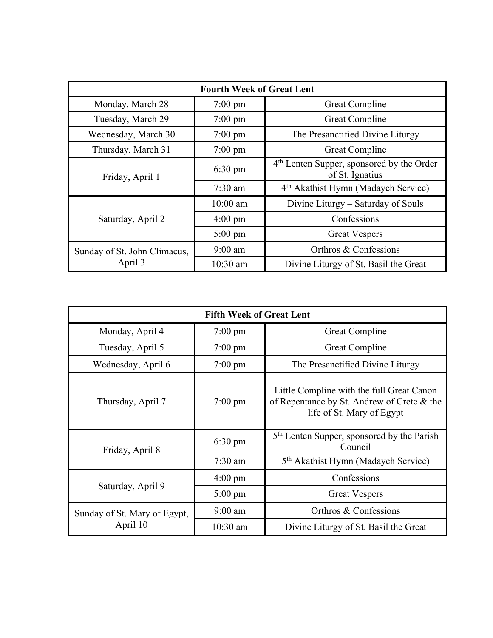| <b>Fourth Week of Great Lent</b>        |                   |                                                                          |
|-----------------------------------------|-------------------|--------------------------------------------------------------------------|
| Monday, March 28                        | $7:00 \text{ pm}$ | <b>Great Compline</b>                                                    |
| Tuesday, March 29                       | $7:00 \text{ pm}$ | <b>Great Compline</b>                                                    |
| Wednesday, March 30                     | $7:00 \text{ pm}$ | The Presanctified Divine Liturgy                                         |
| Thursday, March 31                      | $7:00 \text{ pm}$ | <b>Great Compline</b>                                                    |
| Friday, April 1                         | $6:30 \text{ pm}$ | 4 <sup>th</sup> Lenten Supper, sponsored by the Order<br>of St. Ignatius |
|                                         | $7:30$ am         | 4 <sup>th</sup> Akathist Hymn (Madayeh Service)                          |
| Saturday, April 2                       | $10:00$ am        | Divine Liturgy – Saturday of Souls                                       |
|                                         | $4:00 \text{ pm}$ | Confessions                                                              |
|                                         | $5:00 \text{ pm}$ | <b>Great Vespers</b>                                                     |
| Sunday of St. John Climacus,<br>April 3 | $9:00$ am         | Orthros & Confessions                                                    |
|                                         | 10:30 am          | Divine Liturgy of St. Basil the Great                                    |

| <b>Fifth Week of Great Lent</b>          |                   |                                                                                                                      |
|------------------------------------------|-------------------|----------------------------------------------------------------------------------------------------------------------|
| Monday, April 4                          | $7:00$ pm         | <b>Great Compline</b>                                                                                                |
| Tuesday, April 5                         | $7:00 \text{ pm}$ | Great Compline                                                                                                       |
| Wednesday, April 6                       | $7:00 \text{ pm}$ | The Presanctified Divine Liturgy                                                                                     |
| Thursday, April 7                        | $7:00 \text{ pm}$ | Little Compline with the full Great Canon<br>of Repentance by St. Andrew of Crete & the<br>life of St. Mary of Egypt |
| Friday, April 8                          | $6:30 \text{ pm}$ | 5 <sup>th</sup> Lenten Supper, sponsored by the Parish<br>Council                                                    |
|                                          | $7:30$ am         | 5 <sup>th</sup> Akathist Hymn (Madayeh Service)                                                                      |
| Saturday, April 9                        | $4:00 \text{ pm}$ | Confessions                                                                                                          |
|                                          | $5:00 \text{ pm}$ | <b>Great Vespers</b>                                                                                                 |
| Sunday of St. Mary of Egypt,<br>April 10 | $9:00$ am         | Orthros & Confessions                                                                                                |
|                                          | $10:30$ am        | Divine Liturgy of St. Basil the Great                                                                                |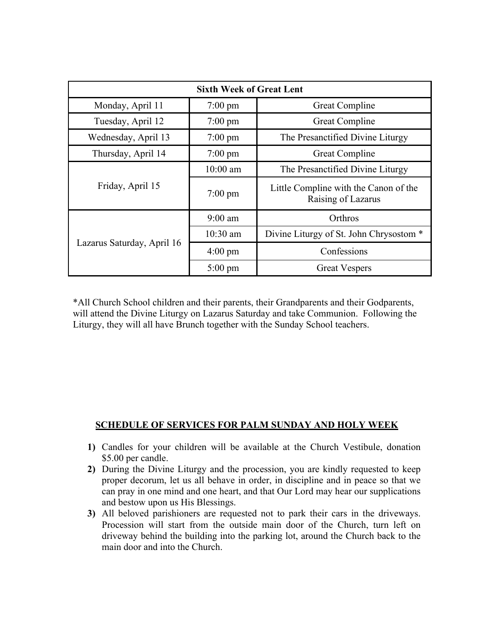| <b>Sixth Week of Great Lent</b> |                   |                                                             |
|---------------------------------|-------------------|-------------------------------------------------------------|
| Monday, April 11                | $7:00 \text{ pm}$ | <b>Great Compline</b>                                       |
| Tuesday, April 12               | $7:00 \text{ pm}$ | <b>Great Compline</b>                                       |
| Wednesday, April 13             | $7:00 \text{ pm}$ | The Presanctified Divine Liturgy                            |
| Thursday, April 14              | $7:00 \text{ pm}$ | Great Compline                                              |
| Friday, April 15                | $10:00$ am        | The Presanctified Divine Liturgy                            |
|                                 | $7:00 \text{ pm}$ | Little Compline with the Canon of the<br>Raising of Lazarus |
| Lazarus Saturday, April 16      | $9:00$ am         | Orthros                                                     |
|                                 | 10:30 am          | Divine Liturgy of St. John Chrysostom *                     |
|                                 | $4:00 \text{ pm}$ | Confessions                                                 |
|                                 | $5:00 \text{ pm}$ | <b>Great Vespers</b>                                        |

\*All Church School children and their parents, their Grandparents and their Godparents, will attend the Divine Liturgy on Lazarus Saturday and take Communion. Following the Liturgy, they will all have Brunch together with the Sunday School teachers.

## **SCHEDULE OF SERVICES FOR PALM SUNDAY AND HOLY WEEK**

- **1)** Candles for your children will be available at the Church Vestibule, donation \$5.00 per candle.
- **2)** During the Divine Liturgy and the procession, you are kindly requested to keep proper decorum, let us all behave in order, in discipline and in peace so that we can pray in one mind and one heart, and that Our Lord may hear our supplications and bestow upon us His Blessings.
- **3)** All beloved parishioners are requested not to park their cars in the driveways. Procession will start from the outside main door of the Church, turn left on driveway behind the building into the parking lot, around the Church back to the main door and into the Church.